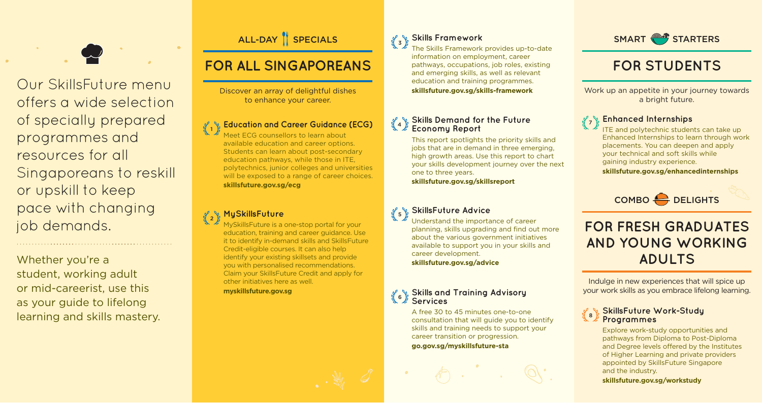#### **Skills Demand for the Future Economy Report** <sup>4</sup>

This report spotlights the priority skills and jobs that are in demand in three emerging, high growth areas. Use this report to chart your skills development journey over the next one to three years.

**skillsfuture.gov.sg/skillsreport**

### **SkillsFuture Advice**

A free 30 to 45 minutes one-to-one consultation that will guide you to identify skills and training needs to support your career transition or progression.

#### 6 **Skills and Training Advisory Services**

#### **go.gov.sg/myskillsfuture-sta**



Understand the importance of career planning, skills upgrading and find out more about the various government initiatives available to support you in your skills and career development.

**skillsfuture.gov.sg/advice**



Our SkillsFuture menu offers a wide selection of specially prepared programmes and resources for all Singaporeans to reskill or upskill to keep pace with changing job demands.

Whether you're a student, working adult or mid-careerist, use this as your guide to lifelong learning and skills mastery.

## ALL-DAY SPECIALS

Meet ECG counsellors to learn about available education and career options. Students can learn about post-secondary education pathways, while those in ITE, polytechnics, junior colleges and universities will be exposed to a range of career choices. **skillsfuture.gov.sg/ecg**

Work up an appetite in your journey towards a bright future.

#### **SkillsFuture Work-Study Programmes**

MySkillsFuture is a one-stop portal for your education, training and career guidance. Use it to identify in-demand skills and SkillsFuture Credit-eligible courses. It can also help identify your existing skillsets and provide you with personalised recommendations. Claim your SkillsFuture Credit and apply for other initiatives here as well. **myskillsfuture.gov.sg**

#### 2 **MySkillsFuture**

The Skills Framework provides up-to-date information on employment, career pathways, occupations, job roles, existing and emerging skills, as well as relevant education and training programmes. **skillsfuture.gov.sg/skills-framework**

# 3 **Skills Framework**

Discover an array of delightful dishes to enhance your career.

### **Education and Career Guidance (ECG)**

# **FOR ALL SINGAPOREANS**

#### **Enhanced Internships** <sup>7</sup>

ITE and polytechnic students can take up Enhanced Internships to learn through work placements. You can deepen and apply your technical and soft skills while gaining industry experience.

**skillsfuture.gov.sg/enhancedinternships**

# **FOR STUDENTS**



Explore work-study opportunities and pathways from Diploma to Post-Diploma and Degree levels offered by the Institutes of Higher Learning and private providers appointed by SkillsFuture Singapore and the industry.

**skillsfuture.gov.sg/workstudy**

Indulge in new experiences that will spice up your work skills as you embrace lifelong learning.

# **FOR FRESH GRADUATES AND YOUNG WORKING ADULTS**